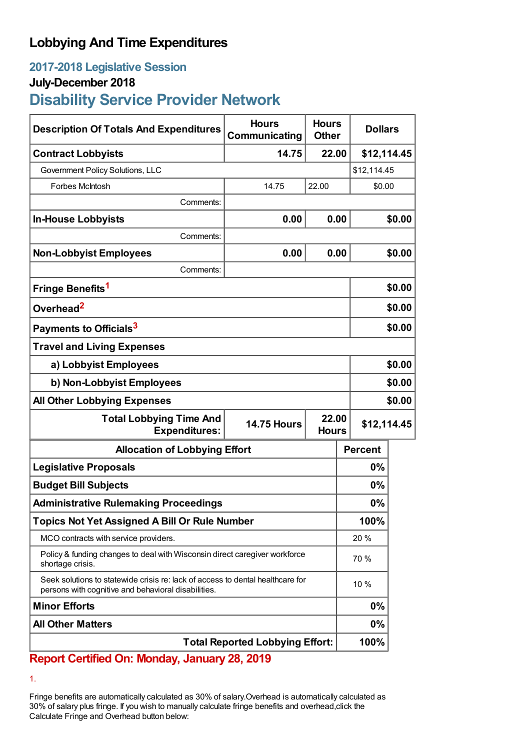## **Lobbying And Time Expenditures**

## **2017-2018 Legislative Session**

### **July-December 2018**

# **Disability Service Provider Network**

| <b>Description Of Totals And Expenditures</b>                                                                                         | <b>Hours</b><br>Communicating               | <b>Hours</b><br><b>Other</b> | <b>Dollars</b> |        |
|---------------------------------------------------------------------------------------------------------------------------------------|---------------------------------------------|------------------------------|----------------|--------|
| <b>Contract Lobbyists</b>                                                                                                             | 14.75                                       | 22.00                        | \$12,114.45    |        |
| Government Policy Solutions, LLC                                                                                                      |                                             |                              | \$12,114.45    |        |
| Forbes McIntosh                                                                                                                       | 14.75                                       | 22.00                        | \$0.00         |        |
| Comments:                                                                                                                             |                                             |                              |                |        |
| <b>In-House Lobbyists</b>                                                                                                             | 0.00                                        | 0.00                         |                | \$0.00 |
| Comments:                                                                                                                             |                                             |                              |                |        |
| <b>Non-Lobbyist Employees</b>                                                                                                         | 0.00                                        | 0.00                         |                | \$0.00 |
| Comments:                                                                                                                             |                                             |                              |                |        |
| Fringe Benefits <sup>1</sup>                                                                                                          |                                             |                              |                | \$0.00 |
| Overhead <sup>2</sup>                                                                                                                 |                                             |                              | \$0.00         |        |
| Payments to Officials <sup>3</sup>                                                                                                    |                                             |                              | \$0.00         |        |
| <b>Travel and Living Expenses</b>                                                                                                     |                                             |                              |                |        |
| a) Lobbyist Employees                                                                                                                 |                                             |                              | \$0.00         |        |
| b) Non-Lobbyist Employees                                                                                                             |                                             |                              | \$0.00         |        |
| <b>All Other Lobbying Expenses</b>                                                                                                    |                                             |                              | \$0.00         |        |
| <b>Total Lobbying Time And</b><br><b>Expenditures:</b>                                                                                | 22.00<br><b>14.75 Hours</b><br><b>Hours</b> |                              | \$12,114.45    |        |
| <b>Allocation of Lobbying Effort</b>                                                                                                  |                                             |                              | <b>Percent</b> |        |
| <b>Legislative Proposals</b>                                                                                                          |                                             |                              | 0%             |        |
| <b>Budget Bill Subjects</b>                                                                                                           |                                             |                              | 0%             |        |
| <b>Administrative Rulemaking Proceedings</b>                                                                                          |                                             |                              | 0%             |        |
| <b>Topics Not Yet Assigned A Bill Or Rule Number</b>                                                                                  |                                             |                              | 100%           |        |
| MCO contracts with service providers.                                                                                                 |                                             |                              | 20 %           |        |
| Policy & funding changes to deal with Wisconsin direct caregiver workforce<br>shortage crisis.                                        |                                             |                              | 70 %           |        |
| Seek solutions to statewide crisis re: lack of access to dental healthcare for<br>persons with cognitive and behavioral disabilities. |                                             |                              | 10 %           |        |
| <b>Minor Efforts</b>                                                                                                                  |                                             |                              | 0%             |        |
| <b>All Other Matters</b>                                                                                                              |                                             |                              | 0%             |        |
| <b>Total Reported Lobbying Effort:</b>                                                                                                |                                             |                              | 100%           |        |

## **Report Certified On: Monday, January 28, 2019**

1.

Fringe benefits are automatically calculated as 30% of salary.Overhead is automatically calculated as 30% of salary plus fringe. If you wish to manually calculate fringe benefits and overhead,click the Calculate Fringe and Overhead button below: